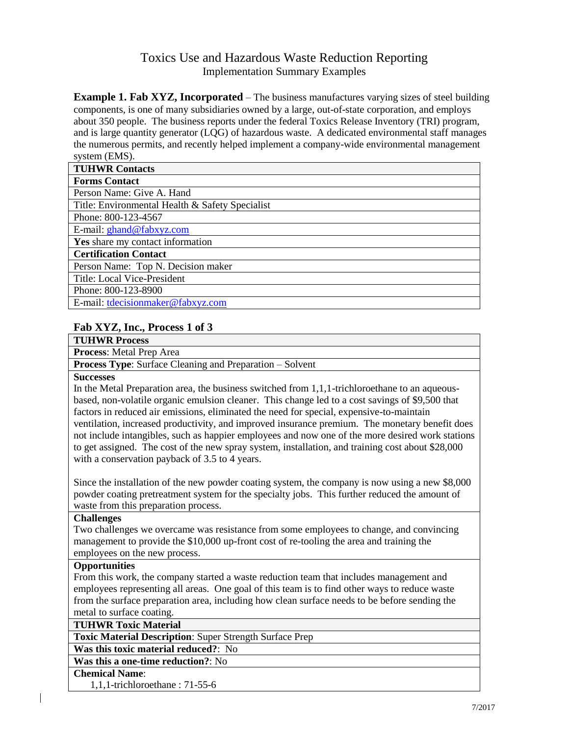# Toxics Use and Hazardous Waste Reduction Reporting Implementation Summary Examples

**Example 1. Fab XYZ, Incorporated** – The business manufactures varying sizes of steel building components, is one of many subsidiaries owned by a large, out-of-state corporation, and employs about 350 people. The business reports under the federal Toxics Release Inventory (TRI) program, and is large quantity generator (LQG) of hazardous waste. A dedicated environmental staff manages the numerous permits, and recently helped implement a company-wide environmental management system (EMS).

| <b>TUHWR Contacts</b>                           |
|-------------------------------------------------|
| <b>Forms Contact</b>                            |
| Person Name: Give A. Hand                       |
| Title: Environmental Health & Safety Specialist |
| Phone: 800-123-4567                             |
| E-mail: ghand@fabxyz.com                        |
| Yes share my contact information                |
| <b>Certification Contact</b>                    |
| Person Name: Top N. Decision maker              |
| Title: Local Vice-President                     |
| Phone: 800-123-8900                             |
| E-mail: tdecisionmaker@fabxyz.com               |

### **Fab XYZ, Inc., Process 1 of 3**

| <b>TUHWR Process</b>                                            |
|-----------------------------------------------------------------|
| <b>Process:</b> Metal Prep Area                                 |
| <b>Process Type:</b> Surface Cleaning and Preparation – Solvent |
|                                                                 |

#### **Successes**

In the Metal Preparation area, the business switched from  $1,1,1$ -trichloroethane to an aqueousbased, non-volatile organic emulsion cleaner. This change led to a cost savings of \$9,500 that factors in reduced air emissions, eliminated the need for special, expensive-to-maintain ventilation, increased productivity, and improved insurance premium. The monetary benefit does not include intangibles, such as happier employees and now one of the more desired work stations to get assigned. The cost of the new spray system, installation, and training cost about \$28,000 with a conservation payback of 3.5 to 4 years.

Since the installation of the new powder coating system, the company is now using a new \$8,000 powder coating pretreatment system for the specialty jobs. This further reduced the amount of waste from this preparation process.

#### **Challenges**

Two challenges we overcame was resistance from some employees to change, and convincing management to provide the \$10,000 up-front cost of re-tooling the area and training the employees on the new process.

#### **Opportunities**

From this work, the company started a waste reduction team that includes management and employees representing all areas. One goal of this team is to find other ways to reduce waste from the surface preparation area, including how clean surface needs to be before sending the metal to surface coating.

**TUHWR Toxic Material**

**Toxic Material Description**: Super Strength Surface Prep

**Was this toxic material reduced?**: No

**Was this a one-time reduction?**: No

#### **Chemical Name**:

1,1,1-trichloroethane : 71-55-6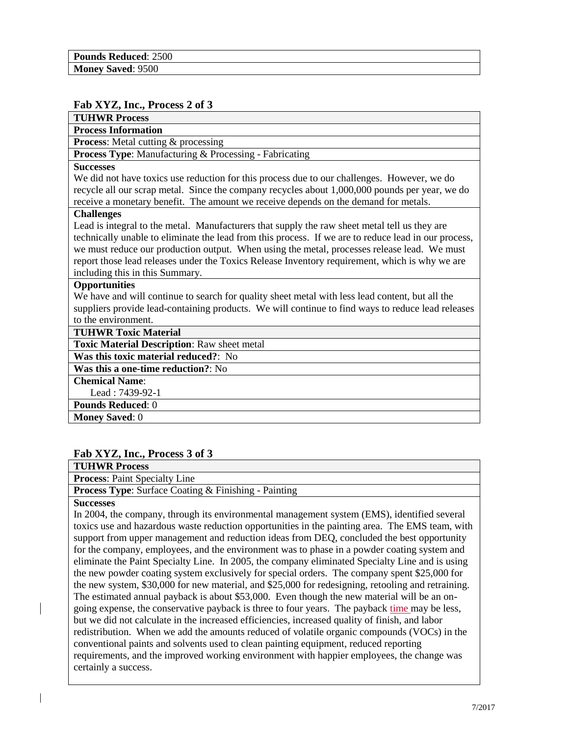#### **Fab XYZ, Inc., Process 2 of 3**

| <b>TUHWR Process</b>                                                                                 |
|------------------------------------------------------------------------------------------------------|
| <b>Process Information</b>                                                                           |
| <b>Process:</b> Metal cutting & processing                                                           |
| <b>Process Type:</b> Manufacturing & Processing - Fabricating                                        |
| <b>Successes</b>                                                                                     |
| We did not have toxics use reduction for this process due to our challenges. However, we do          |
| recycle all our scrap metal. Since the company recycles about 1,000,000 pounds per year, we do       |
| receive a monetary benefit. The amount we receive depends on the demand for metals.                  |
| <b>Challenges</b>                                                                                    |
| Lead is integral to the metal. Manufacturers that supply the raw sheet metal tell us they are        |
| technically unable to eliminate the lead from this process. If we are to reduce lead in our process, |
| we must reduce our production output. When using the metal, processes release lead. We must          |
| report those lead releases under the Toxics Release Inventory requirement, which is why we are       |
| including this in this Summary.                                                                      |
| <b>Opportunities</b>                                                                                 |
| We have and will continue to search for quality sheet metal with less lead content, but all the      |
| suppliers provide lead-containing products. We will continue to find ways to reduce lead releases    |
| to the environment.                                                                                  |
| <b>TUHWR Toxic Material</b>                                                                          |
| <b>Toxic Material Description: Raw sheet metal</b>                                                   |
| Was this toxic material reduced?: No                                                                 |
| <b>Was this a one-time reduction?:</b> No                                                            |
| <b>Chemical Name:</b>                                                                                |
| Lead: 7439-92-1                                                                                      |
| <b>Pounds Reduced: 0</b>                                                                             |
| <b>Money Saved: 0</b>                                                                                |

### **Fab XYZ, Inc., Process 3 of 3**

| A WHO AS A LIVELY A LOVED UP OF U                           |
|-------------------------------------------------------------|
| <b>TUHWR Process</b>                                        |
| <b>Process:</b> Paint Specialty Line                        |
| <b>Process Type:</b> Surface Coating & Finishing - Painting |
|                                                             |

#### **Successes**

In 2004, the company, through its environmental management system (EMS), identified several toxics use and hazardous waste reduction opportunities in the painting area. The EMS team, with support from upper management and reduction ideas from DEQ, concluded the best opportunity for the company, employees, and the environment was to phase in a powder coating system and eliminate the Paint Specialty Line. In 2005, the company eliminated Specialty Line and is using the new powder coating system exclusively for special orders. The company spent \$25,000 for the new system, \$30,000 for new material, and \$25,000 for redesigning, retooling and retraining. The estimated annual payback is about \$53,000. Even though the new material will be an ongoing expense, the conservative payback is three to four years. The payback time may be less, but we did not calculate in the increased efficiencies, increased quality of finish, and labor redistribution. When we add the amounts reduced of volatile organic compounds (VOCs) in the conventional paints and solvents used to clean painting equipment, reduced reporting requirements, and the improved working environment with happier employees, the change was certainly a success.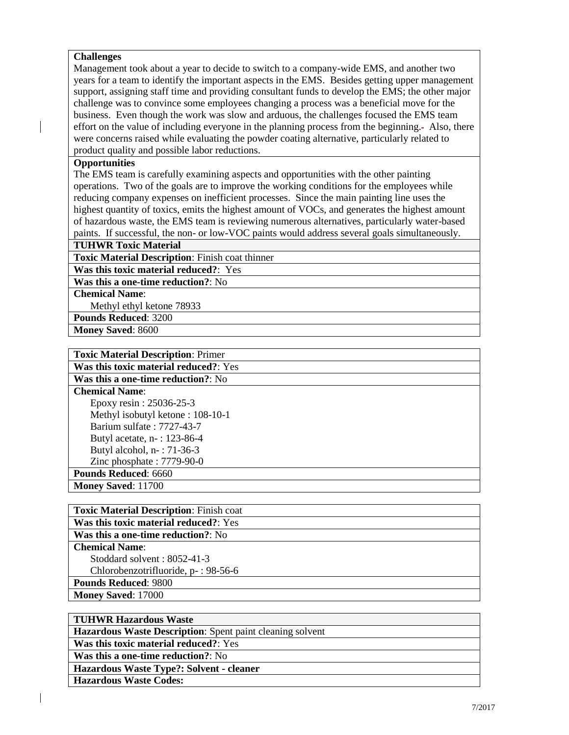#### **Challenges**

Management took about a year to decide to switch to a company-wide EMS, and another two years for a team to identify the important aspects in the EMS. Besides getting upper management support, assigning staff time and providing consultant funds to develop the EMS; the other major challenge was to convince some employees changing a process was a beneficial move for the business. Even though the work was slow and arduous, the challenges focused the EMS team effort on the value of including everyone in the planning process from the beginning. Also, there were concerns raised while evaluating the powder coating alternative, particularly related to product quality and possible labor reductions.

#### **Opportunities**

The EMS team is carefully examining aspects and opportunities with the other painting operations. Two of the goals are to improve the working conditions for the employees while reducing company expenses on inefficient processes. Since the main painting line uses the highest quantity of toxics, emits the highest amount of VOCs, and generates the highest amount of hazardous waste, the EMS team is reviewing numerous alternatives, particularly water-based paints. If successful, the non- or low-VOC paints would address several goals simultaneously.

**TUHWR Toxic Material**

**Toxic Material Description**: Finish coat thinner

**Was this toxic material reduced?**: Yes

**Was this a one-time reduction?**: No

**Chemical Name**:

Methyl ethyl ketone 78933

**Pounds Reduced**: 3200 **Money Saved**: 8600

| <b>Toxic Material Description: Primer</b> |
|-------------------------------------------|
| Was this toxic material reduced?: Yes     |
| <b>Was this a one-time reduction?: No</b> |
| <b>Chemical Name:</b>                     |
| Epoxy resin: 25036-25-3                   |
| Methyl isobutyl ketone: 108-10-1          |
| Barium sulfate: 7727-43-7                 |
| Butyl acetate, n-: 123-86-4               |
| Butyl alcohol, $n - 171-36-3$             |
| Zinc phosphate: $7779-90-0$               |
| <b>Pounds Reduced: 6660</b>               |
| <b>Money Saved: 11700</b>                 |

| <b>Toxic Material Description: Finish coat</b> |
|------------------------------------------------|
| Was this toxic material reduced?: Yes          |
| Was this a one-time reduction?: No             |
| <b>Chemical Name:</b>                          |
| Stoddard solvent: $8052-41-3$                  |
| Chlorobenzotrifluoride, p-: 98-56-6            |
| <b>Pounds Reduced: 9800</b>                    |
| <b>Money Saved: 17000</b>                      |

| <b>TUHWR Hazardous Waste</b>                                     |  |
|------------------------------------------------------------------|--|
| <b>Hazardous Waste Description:</b> Spent paint cleaning solvent |  |
| Was this toxic material reduced?: Yes                            |  |
| <b>Was this a one-time reduction?:</b> No                        |  |
| Hazardous Waste Type?: Solvent - cleaner                         |  |
| <b>Hazardous Waste Codes:</b>                                    |  |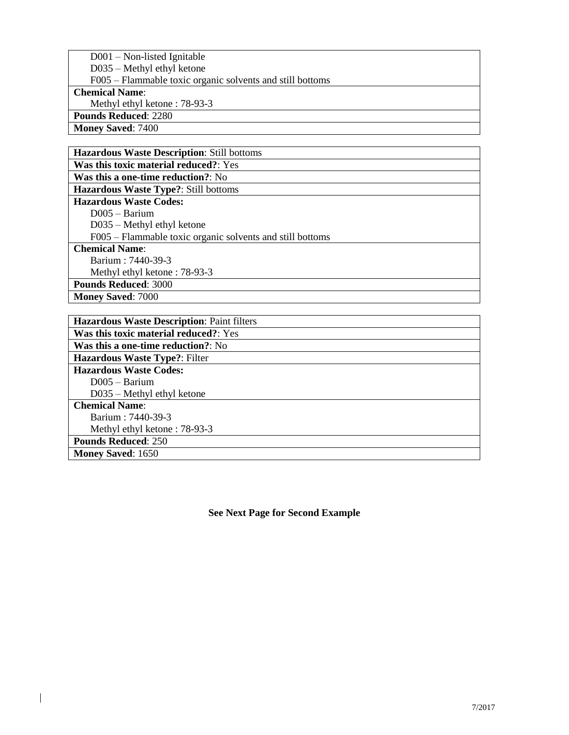| $D001 - Non-listed Ignitable$                             |
|-----------------------------------------------------------|
| $D035 - Methyl$ ethyl ketone                              |
| F005 – Flammable toxic organic solvents and still bottoms |
| <b>Chemical Name:</b>                                     |
| Methyl ethyl ketone: 78-93-3                              |
| <b>Pounds Reduced: 2280</b>                               |
|                                                           |

**Money Saved**: 7400

 $\overline{\phantom{a}}$ 

| <b>Hazardous Waste Description: Still bottoms</b>         |
|-----------------------------------------------------------|
| <b>Was this toxic material reduced?: Yes</b>              |
| <b>Was this a one-time reduction?: No</b>                 |
| <b>Hazardous Waste Type?: Still bottoms</b>               |
| <b>Hazardous Waste Codes:</b>                             |
| $D005 - B$ arium                                          |
| $D035 - Methyl$ ethyl ketone                              |
| F005 – Flammable toxic organic solvents and still bottoms |
| <b>Chemical Name:</b>                                     |
| Barium : 7440-39-3                                        |
| Methyl ethyl ketone: 78-93-3                              |
| <b>Pounds Reduced: 3000</b>                               |
| <b>Money Saved: 7000</b>                                  |

| <b>Hazardous Waste Description: Paint filters</b> |
|---------------------------------------------------|
| Was this toxic material reduced?: Yes             |
| <b>Was this a one-time reduction?:</b> No         |
| <b>Hazardous Waste Type?: Filter</b>              |
| <b>Hazardous Waste Codes:</b>                     |
| $D005 - B$ arium                                  |
| $D035 - Methyl$ ethyl ketone                      |
| <b>Chemical Name:</b>                             |
| Barium: 7440-39-3                                 |
| Methyl ethyl ketone: 78-93-3                      |
| <b>Pounds Reduced: 250</b>                        |
| <b>Money Saved: 1650</b>                          |

**See Next Page for Second Example**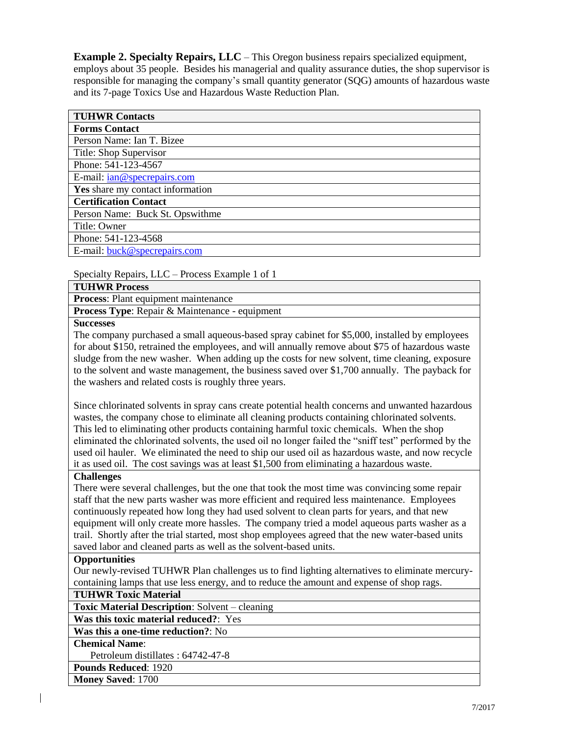**Example 2. Specialty Repairs, LLC** – This Oregon business repairs specialized equipment, employs about 35 people. Besides his managerial and quality assurance duties, the shop supervisor is responsible for managing the company's small quantity generator (SQG) amounts of hazardous waste and its 7-page Toxics Use and Hazardous Waste Reduction Plan.

Specialty Repairs, LLC – Process Example 1 of 1

| <b>TUHWR Process</b>                                  |
|-------------------------------------------------------|
| <b>Process:</b> Plant equipment maintenance           |
| <b>Process Type:</b> Repair & Maintenance - equipment |
|                                                       |

#### **Successes**

The company purchased a small aqueous-based spray cabinet for \$5,000, installed by employees for about \$150, retrained the employees, and will annually remove about \$75 of hazardous waste sludge from the new washer. When adding up the costs for new solvent, time cleaning, exposure to the solvent and waste management, the business saved over \$1,700 annually. The payback for the washers and related costs is roughly three years.

Since chlorinated solvents in spray cans create potential health concerns and unwanted hazardous wastes, the company chose to eliminate all cleaning products containing chlorinated solvents. This led to eliminating other products containing harmful toxic chemicals. When the shop eliminated the chlorinated solvents, the used oil no longer failed the "sniff test" performed by the used oil hauler. We eliminated the need to ship our used oil as hazardous waste, and now recycle it as used oil. The cost savings was at least \$1,500 from eliminating a hazardous waste.

## **Challenges**

There were several challenges, but the one that took the most time was convincing some repair staff that the new parts washer was more efficient and required less maintenance. Employees continuously repeated how long they had used solvent to clean parts for years, and that new equipment will only create more hassles. The company tried a model aqueous parts washer as a trail. Shortly after the trial started, most shop employees agreed that the new water-based units saved labor and cleaned parts as well as the solvent-based units.

#### **Opportunities**

Our newly-revised TUHWR Plan challenges us to find lighting alternatives to eliminate mercurycontaining lamps that use less energy, and to reduce the amount and expense of shop rags.

#### **TUHWR Toxic Material**

**Toxic Material Description**: Solvent – cleaning

**Was this toxic material reduced?**: Yes

**Was this a one-time reduction?**: No

## **Chemical Name**:

Petroleum distillates : 64742-47-8

**Pounds Reduced**: 1920

**Money Saved**: 1700